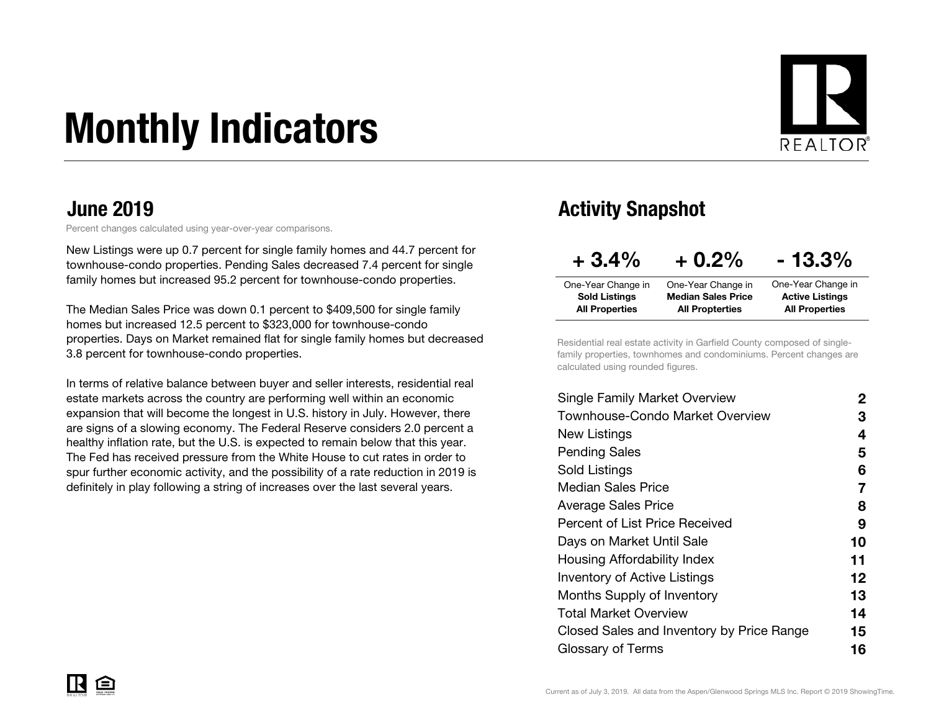# Monthly Indicators



Percent changes calculated using year-over-year comparisons.

New Listings were up 0.7 percent for single family homes and 44.7 percent for townhouse-condo properties. Pending Sales decreased 7.4 percent for single family homes but increased 95.2 percent for townhouse-condo properties.

The Median Sales Price was down 0.1 percent to \$409,500 for single family homes but increased 12.5 percent to \$323,000 for townhouse-condo properties. Days on Market remained flat for single family homes but decreased 3.8 percent for townhouse-condo properties.

In terms of relative balance between buyer and seller interests, residential real estate markets across the country are performing well within an economic expansion that will become the longest in U.S. history in July. However, there are signs of a slowing economy. The Federal Reserve considers 2.0 percent a healthy inflation rate, but the U.S. is expected to remain below that this year. The Fed has received pressure from the White House to cut rates in order to spur further economic activity, and the possibility of a rate reduction in 2019 is definitely in play following a string of increases over the last several years.

#### June 2019 **Activity Snapshot**

| $+3.4%$               | $+0.2\%$                  | $-13.3\%$              |
|-----------------------|---------------------------|------------------------|
| One-Year Change in    | One-Year Change in        | One-Year Change in     |
| <b>Sold Listings</b>  | <b>Median Sales Price</b> | <b>Active Listings</b> |
| <b>All Properties</b> | <b>All Propterties</b>    | <b>All Properties</b>  |

Residential real estate activity in Garfield County composed of singlefamily properties, townhomes and condominiums. Percent changes are calculated using rounded figures.

| <b>Single Family Market Overview</b>      | 2  |
|-------------------------------------------|----|
| Townhouse-Condo Market Overview           | З  |
| New Listings                              | 4  |
| <b>Pending Sales</b>                      | 5  |
| Sold Listings                             | 6  |
| <b>Median Sales Price</b>                 | 7  |
| Average Sales Price                       | 8  |
| Percent of List Price Received            | 9  |
| Days on Market Until Sale                 | 10 |
| Housing Affordability Index               | 11 |
| <b>Inventory of Active Listings</b>       | 12 |
| Months Supply of Inventory                | 13 |
| Total Market Overview                     | 14 |
| Closed Sales and Inventory by Price Range | 15 |
| Glossary of Terms                         | 16 |
|                                           |    |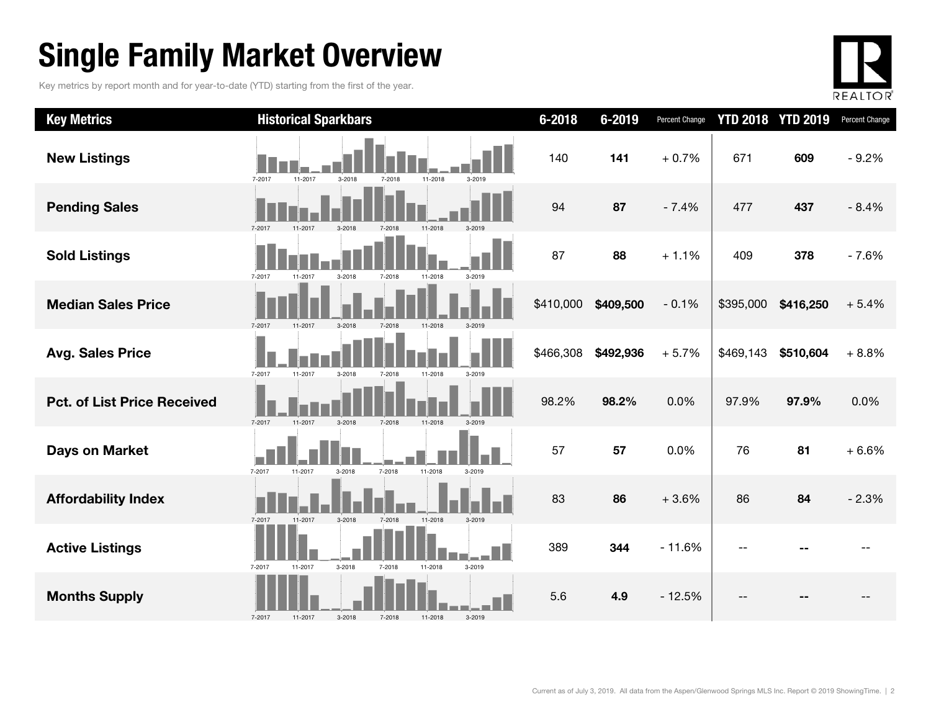### Single Family Market Overview

Key metrics by report month and for year-to-date (YTD) starting from the first of the year.



| <b>Key Metrics</b>                 | <b>Historical Sparkbars</b>                                    | $6 - 2018$ | 6-2019    | Percent Change | <b>YTD 2018</b> | <b>YTD 2019</b> | Percent Change |
|------------------------------------|----------------------------------------------------------------|------------|-----------|----------------|-----------------|-----------------|----------------|
| <b>New Listings</b>                | 7-2017<br>11-2017<br>11-2018<br>$3 - 2018$<br>7-2018<br>3-2019 | 140        | 141       | $+0.7%$        | 671             | 609             | $-9.2%$        |
| <b>Pending Sales</b>               | 7-2017<br>11-2017<br>$3 - 2018$<br>7-2018<br>11-2018<br>3-2019 | 94         | 87        | $-7.4%$        | 477             | 437             | $-8.4%$        |
| <b>Sold Listings</b>               | 7-2017<br>11-2017<br>3-2018<br>3-2019<br>7-2018<br>11-2018     | 87         | 88        | $+1.1%$        | 409             | 378             | $-7.6%$        |
| <b>Median Sales Price</b>          | 7-2017<br>11-2017<br>3-2018<br>7-2018<br>11-2018<br>$3 - 2019$ | \$410,000  | \$409,500 | $-0.1%$        | \$395,000       | \$416,250       | $+5.4%$        |
| <b>Avg. Sales Price</b>            | 7-2017<br>11-2017<br>3-2018<br>7-2018<br>11-2018<br>3-2019     | \$466,308  | \$492,936 | $+5.7%$        | \$469,143       | \$510,604       | $+8.8%$        |
| <b>Pct. of List Price Received</b> | 7-2017<br>3-2019<br>11-2017<br>$3 - 2018$<br>7-2018<br>11-2018 | 98.2%      | 98.2%     | 0.0%           | 97.9%           | 97.9%           | 0.0%           |
| <b>Days on Market</b>              | 7-2017<br>7-2018<br>11-2018<br>11-2017<br>3-2018<br>3-2019     | 57         | 57        | 0.0%           | 76              | 81              | $+6.6%$        |
| <b>Affordability Index</b>         | 11-2018<br>3-2019<br>7-2017<br>11-2017<br>$3 - 2018$<br>7-2018 | 83         | 86        | $+3.6%$        | 86              | 84              | $-2.3%$        |
| <b>Active Listings</b>             | 3-2018<br>11-2018<br>3-2019<br>7-2017<br>11-2017<br>7-2018     | 389        | 344       | $-11.6%$       |                 |                 |                |
| <b>Months Supply</b>               | 3-2018<br>3-2019<br>7-2017<br>11-2017<br>7-2018<br>11-2018     | 5.6        | 4.9       | $-12.5%$       |                 |                 |                |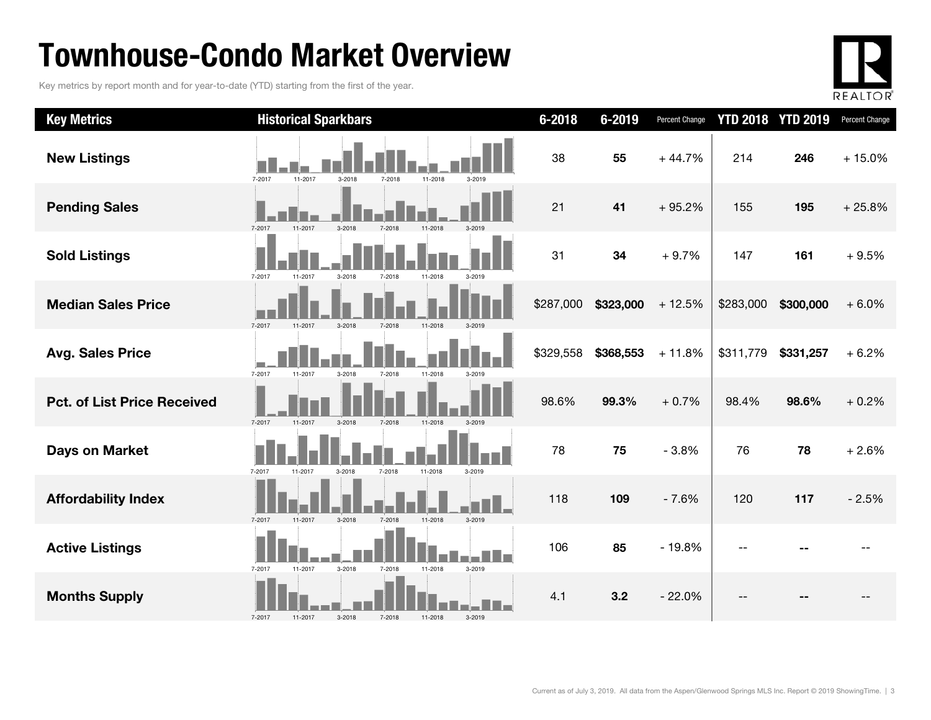### Townhouse-Condo Market Overview

Key metrics by report month and for year-to-date (YTD) starting from the first of the year.



| <b>Key Metrics</b>                 | <b>Historical Sparkbars</b>                                             | $6 - 2018$ | 6-2019    | Percent Change |           | <b>YTD 2018 YTD 2019</b> | Percent Change |
|------------------------------------|-------------------------------------------------------------------------|------------|-----------|----------------|-----------|--------------------------|----------------|
| <b>New Listings</b>                | 11-2017<br>11-2018<br>7-2017<br>3-2018<br>7-2018<br>3-2019              | 38         | 55        | $+44.7%$       | 214       | 246                      | $+15.0%$       |
| <b>Pending Sales</b>               | 7-2017<br>11-2017<br>$3-2018$                                           | 21         | 41        | $+95.2%$       | 155       | 195                      | $+25.8%$       |
| <b>Sold Listings</b>               | 7-2017<br>11-2017<br>$3 - 2018$<br>7-2018<br>11-2018                    | 31         | 34        | $+9.7%$        | 147       | 161                      | $+9.5%$        |
| <b>Median Sales Price</b>          | 7-2017<br>11-2017<br>$3-2018$<br>7-2018<br>11-2018                      | \$287,000  | \$323,000 | $+12.5%$       | \$283,000 | \$300,000                | $+6.0%$        |
| <b>Avg. Sales Price</b>            | 11-2017<br>7-2017<br>11-2018<br>3-2018<br>7-2018<br>3-2019              | \$329,558  | \$368,553 | $+11.8%$       | \$311,779 | \$331,257                | $+6.2%$        |
| <b>Pct. of List Price Received</b> | $3 - 2018$<br>7-2017<br>11-2017<br>7-2018<br>11-2018<br>$3 - 2019$      | 98.6%      | 99.3%     | $+0.7%$        | 98.4%     | 98.6%                    | $+0.2%$        |
| <b>Days on Market</b>              | 7-2017<br>7-2018<br>11-2018<br>11-2017<br>3-2018<br>3-2019              | 78         | 75        | $-3.8%$        | 76        | 78                       | $+2.6%$        |
| <b>Affordability Index</b>         | 7-2017<br>11-2017<br>3-2018<br>7-2018<br>11-2018<br>3-2019              | 118        | 109       | $-7.6%$        | 120       | 117                      | $-2.5%$        |
| <b>Active Listings</b>             | u na Mala<br>7-2017<br>11-2017<br>3-2018<br>7-2018<br>11-2018<br>3-2019 | 106        | 85        | $-19.8%$       |           |                          |                |
| <b>Months Supply</b>               | 7-2017<br>3-2018<br>7-2018<br>11-2018<br>3-2019<br>11-2017              | 4.1        | 3.2       | $-22.0%$       |           |                          |                |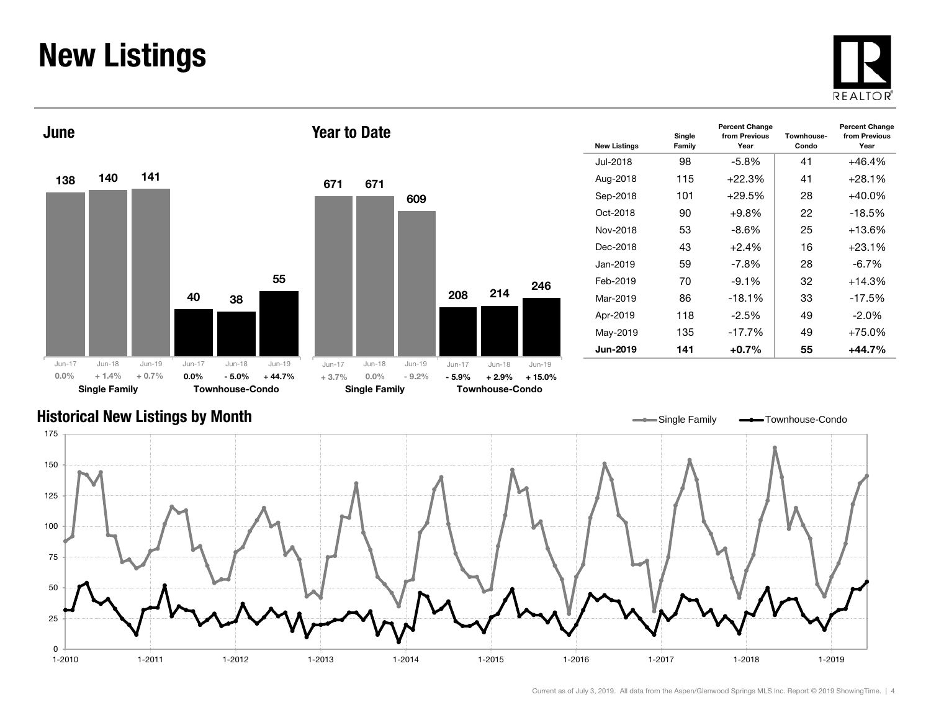#### New Listings







| <b>New Listings</b> | Single<br>Family | <b>Percent Change</b><br>from Previous<br>Year | Townhouse-<br>Condo | <b>Percent Change</b><br>from Previous<br>Year |
|---------------------|------------------|------------------------------------------------|---------------------|------------------------------------------------|
| Jul-2018            | 98               | -5.8%                                          | 41                  | +46.4%                                         |
| Aug-2018            | 115              | $+22.3%$                                       | 41                  | $+28.1%$                                       |
| Sep-2018            | 101              | $+29.5\%$                                      | 28                  | +40.0%                                         |
| Oct-2018            | 90               | +9.8%                                          | 22                  | -18.5%                                         |
| Nov-2018            | 53               | $-8.6\%$                                       | 25                  | $+13.6%$                                       |
| Dec-2018            | 43               | $+2.4%$                                        | 16                  | $+23.1%$                                       |
| Jan-2019            | 59               | $-7.8\%$                                       | 28                  | $-6.7\%$                                       |
| Feb-2019            | 70               | $-9.1\%$                                       | 32                  | $+14.3%$                                       |
| Mar-2019            | 86               | $-18.1\%$                                      | 33                  | $-17.5%$                                       |
| Apr-2019            | 118              | $-2.5\%$                                       | 49                  | $-2.0\%$                                       |
| May-2019            | 135              | $-17.7%$                                       | 49                  | +75.0%                                         |
| Jun-2019            | 141              | $+0.7\%$                                       | 55                  | +44.7%                                         |
|                     |                  |                                                |                     |                                                |

#### Historical New Listings by Month

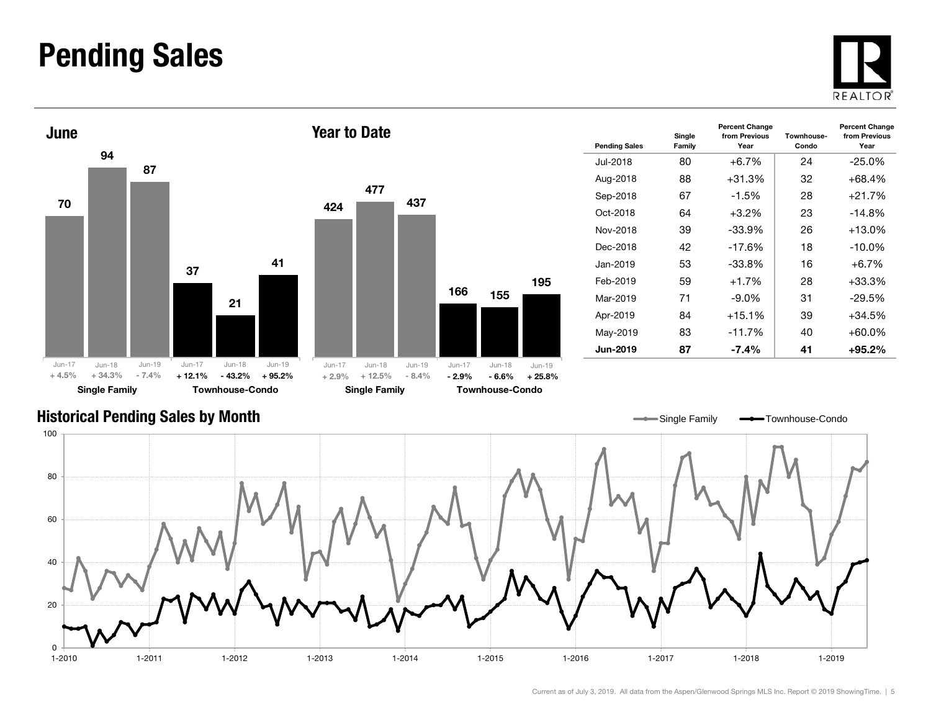#### Pending Sales







| <b>Pending Sales</b> | Single<br>Family | <b>Percent Change</b><br>from Previous<br>Year | Townhouse-<br>Condo | <b>Percent Change</b><br>from Previous<br>Year |
|----------------------|------------------|------------------------------------------------|---------------------|------------------------------------------------|
| Jul-2018             | 80               | $+6.7\%$                                       | 24                  | $-25.0\%$                                      |
| Aug-2018             | 88               | $+31.3%$                                       | 32                  | $+68.4%$                                       |
| Sep-2018             | 67               | $-1.5%$                                        | 28                  | $+21.7%$                                       |
| Oct-2018             | 64               | $+3.2\%$                                       | 23                  | $-14.8%$                                       |
| Nov-2018             | 39               | $-33.9%$                                       | 26                  | $+13.0%$                                       |
| Dec-2018             | 42               | $-17.6%$                                       | 18                  | $-10.0\%$                                      |
| Jan-2019             | 53               | -33.8%                                         | 16                  | $+6.7%$                                        |
| Feb-2019             | 59               | $+1.7%$                                        | 28                  | $+33.3%$                                       |
| Mar-2019             | 71               | $-9.0\%$                                       | 31                  | $-29.5\%$                                      |
| Apr-2019             | 84               | $+15.1%$                                       | 39                  | $+34.5%$                                       |
| May-2019             | 83               | $-11.7%$                                       | 40                  | +60.0%                                         |
| <b>Jun-2019</b>      | 87               | $-7.4\%$                                       | 41                  | +95.2%                                         |

#### Historical Pending Sales by Month

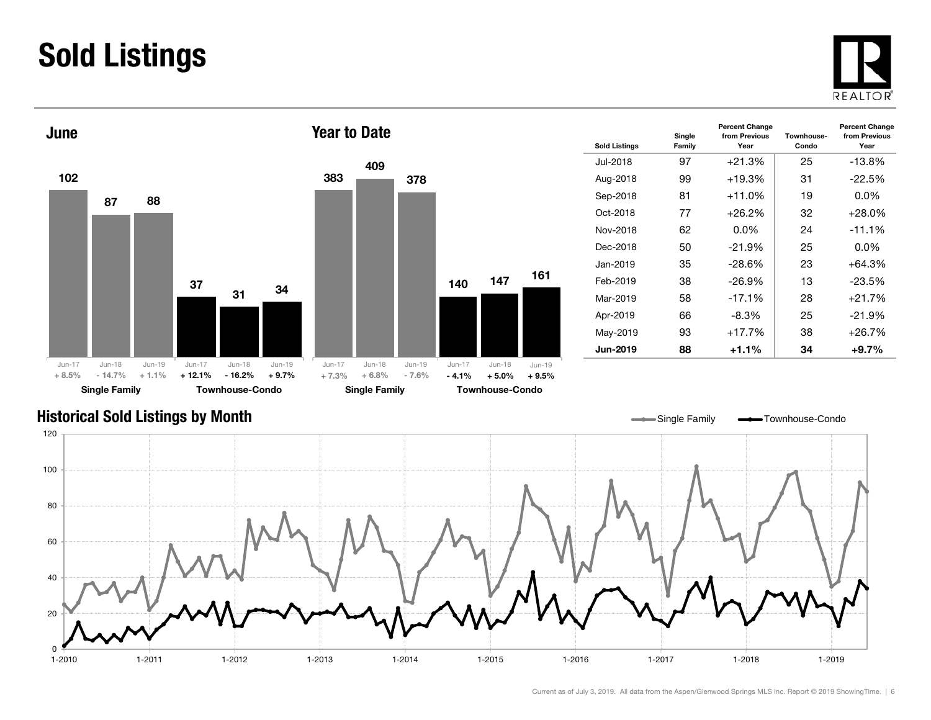### Sold Listings





| <b>Sold Listings</b> | Single<br>Family | <b>Percent Change</b><br>from Previous<br>Year | Townhouse-<br>Condo | <b>Percent Change</b><br>from Previous<br>Year |
|----------------------|------------------|------------------------------------------------|---------------------|------------------------------------------------|
| Jul-2018             | 97               | $+21.3%$                                       | 25                  | $-13.8\%$                                      |
| Aug-2018             | 99               | $+19.3%$                                       | 31                  | $-22.5%$                                       |
| Sep-2018             | 81               | $+11.0%$                                       | 19                  | $0.0\%$                                        |
| Oct-2018             | 77               | +26.2%                                         | 32                  | +28.0%                                         |
| Nov-2018             | 62               | $0.0\%$                                        | 24                  | $-11.1%$                                       |
| Dec-2018             | 50               | $-21.9%$                                       | 25                  | $0.0\%$                                        |
| Jan-2019             | 35               | $-28.6\%$                                      | 23                  | +64.3%                                         |
| Feb-2019             | 38               | $-26.9\%$                                      | 13                  | -23.5%                                         |
| Mar-2019             | 58               | $-17.1%$                                       | 28                  | +21.7%                                         |
| Apr-2019             | 66               | -8.3%                                          | 25                  | $-21.9%$                                       |
| May-2019             | 93               | $+17.7%$                                       | 38                  | +26.7%                                         |
| <b>Jun-2019</b>      | 88               | +1.1%                                          | 34                  | $+9.7%$                                        |

#### Historical Sold Listings by Month

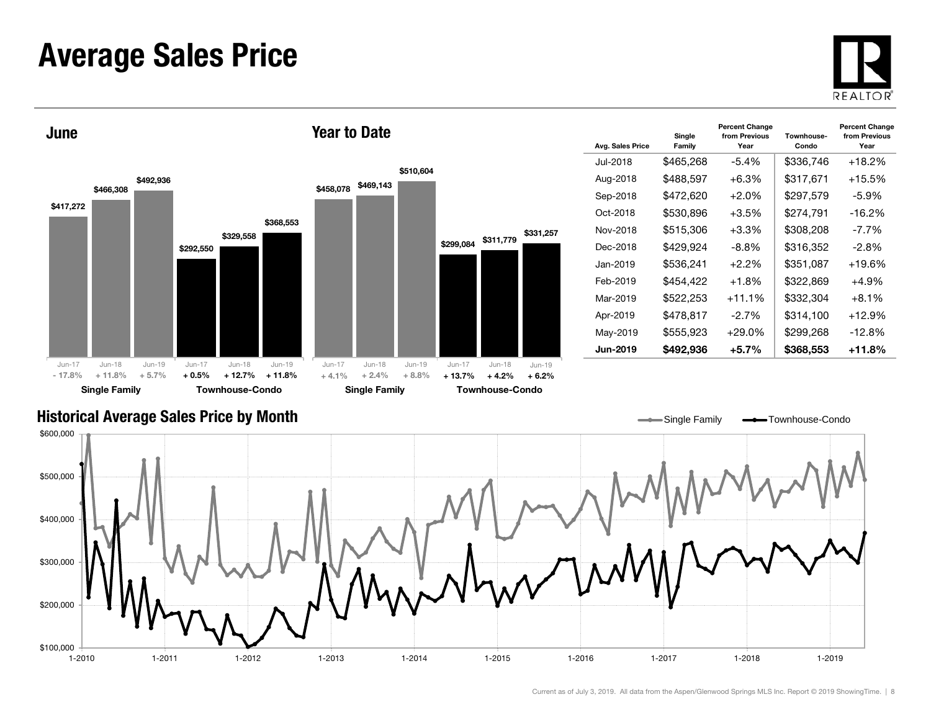#### Average Sales Price





| Avg. Sales Price | Single<br>Family | <b>Percent Change</b><br>from Previous<br>Year | Townhouse-<br>Condo | <b>Percent Change</b><br>from Previous<br>Year |
|------------------|------------------|------------------------------------------------|---------------------|------------------------------------------------|
| Jul-2018         | \$465,268        | $-5.4%$                                        | \$336.746           | $+18.2%$                                       |
| Aug-2018         | \$488,597        | $+6.3%$                                        | \$317,671           | $+15.5\%$                                      |
| Sep-2018         | \$472,620        | $+2.0%$                                        | \$297,579           | -5.9%                                          |
| Oct-2018         | \$530.896        | $+3.5%$                                        | \$274.791           | $-16.2%$                                       |
| Nov-2018         | \$515,306        | $+3.3%$                                        | \$308,208           | $-7.7\%$                                       |
| Dec-2018         | \$429,924        | -8.8%                                          | \$316,352           | -2.8%                                          |
| Jan-2019         | \$536,241        | $+2.2\%$                                       | \$351,087           | $+19.6%$                                       |
| Feb-2019         | \$454.422        | $+1.8%$                                        | \$322,869           | $+4.9%$                                        |
| Mar-2019         | \$522,253        | $+11.1%$                                       | \$332,304           | $+8.1\%$                                       |
| Apr-2019         | \$478,817        | $-2.7\%$                                       | \$314,100           | $+12.9\%$                                      |
| May-2019         | \$555,923        | $+29.0\%$                                      | \$299,268           | $-12.8%$                                       |
| <b>Jun-2019</b>  | \$492,936        | $+5.7%$                                        | \$368,553           | +11.8%                                         |

#### Historical Average Sales Price by Month

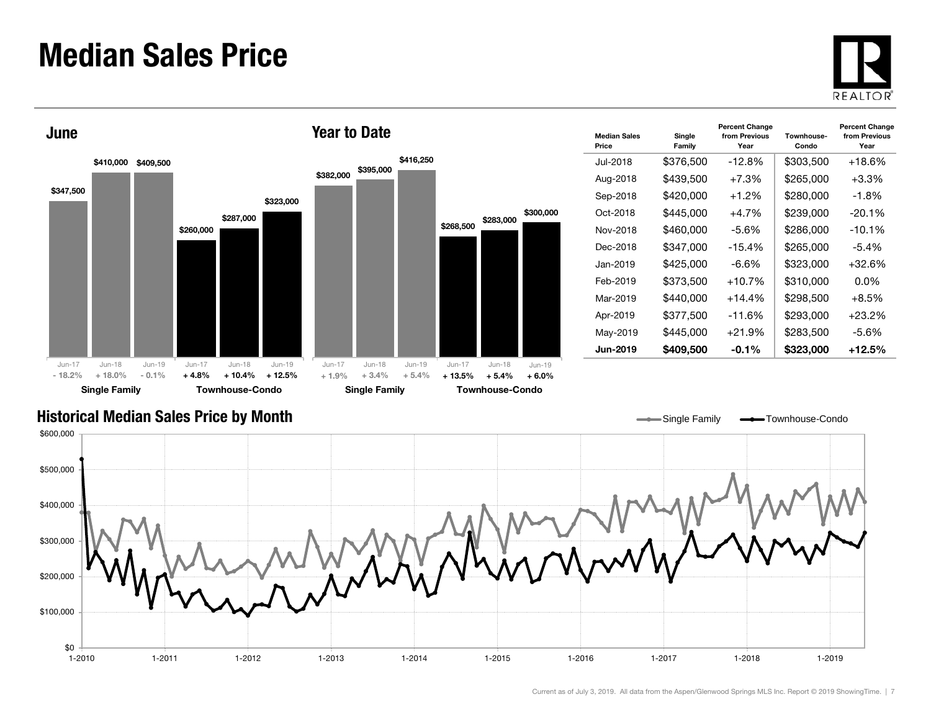#### Median Sales Price





| <b>Median Sales</b><br>Price | Single<br>Family | <b>Percent Change</b><br>from Previous<br>Year | Townhouse-<br>Condo | <b>Percent Change</b><br>from Previous<br>Year |
|------------------------------|------------------|------------------------------------------------|---------------------|------------------------------------------------|
| Jul-2018                     | \$376,500        | $-12.8%$                                       | \$303,500           | $+18.6%$                                       |
| Aug-2018                     | \$439,500        | $+7.3%$                                        | \$265,000           | $+3.3\%$                                       |
| Sep-2018                     | \$420,000        | $+1.2%$                                        | \$280,000           | -1.8%                                          |
| Oct-2018                     | \$445,000        | $+4.7%$                                        | \$239,000           | $-20.1%$                                       |
| Nov-2018                     | \$460,000        | -5.6%                                          | \$286,000           | $-10.1%$                                       |
| Dec-2018                     | \$347,000        | $-15.4%$                                       | \$265.000           | -5.4%                                          |
| Jan-2019                     | \$425,000        | -6.6%                                          | \$323,000           | $+32.6%$                                       |
| Feb-2019                     | \$373,500        | $+10.7%$                                       | \$310,000           | 0.0%                                           |
| Mar-2019                     | \$440,000        | $+14.4%$                                       | \$298,500           | $+8.5%$                                        |
| Apr-2019                     | \$377,500        | $-11.6%$                                       | \$293,000           | $+23.2%$                                       |
| May-2019                     | \$445,000        | $+21.9%$                                       | \$283,500           | -5.6%                                          |
| <b>Jun-2019</b>              | \$409,500        | $-0.1\%$                                       | \$323,000           | $+12.5\%$                                      |

Single Family **-** Townhouse-Condo

#### Historical Median Sales Price by Month

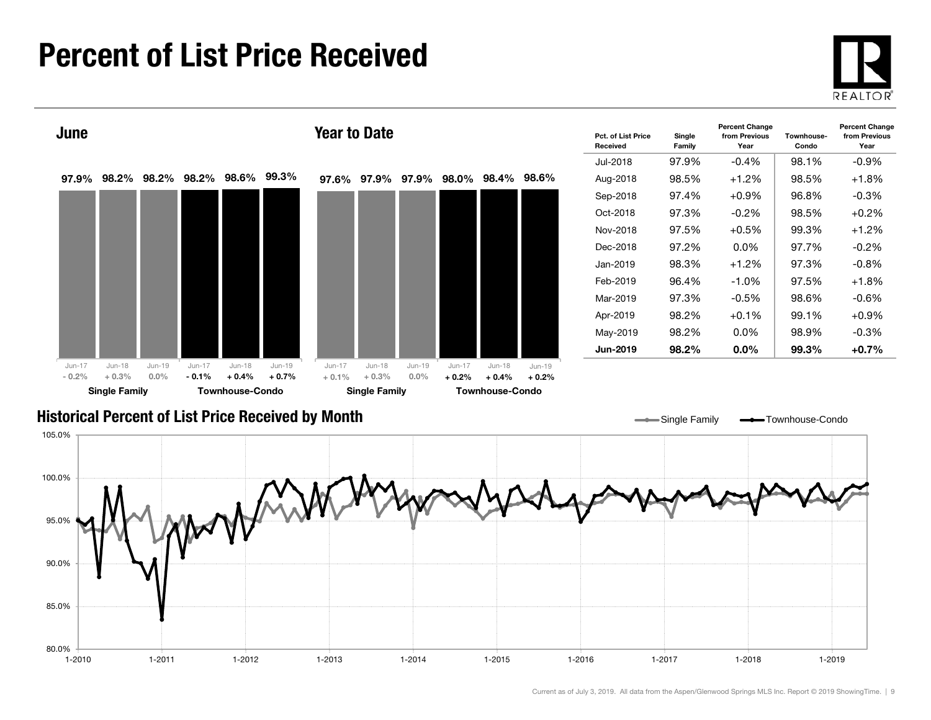#### Percent of List Price Received

80.0%

85.0%





1-2010 1-2011 1-2012 1-2013 1-2014 1-2015 1-2016 1-2017 1-2018 1-2019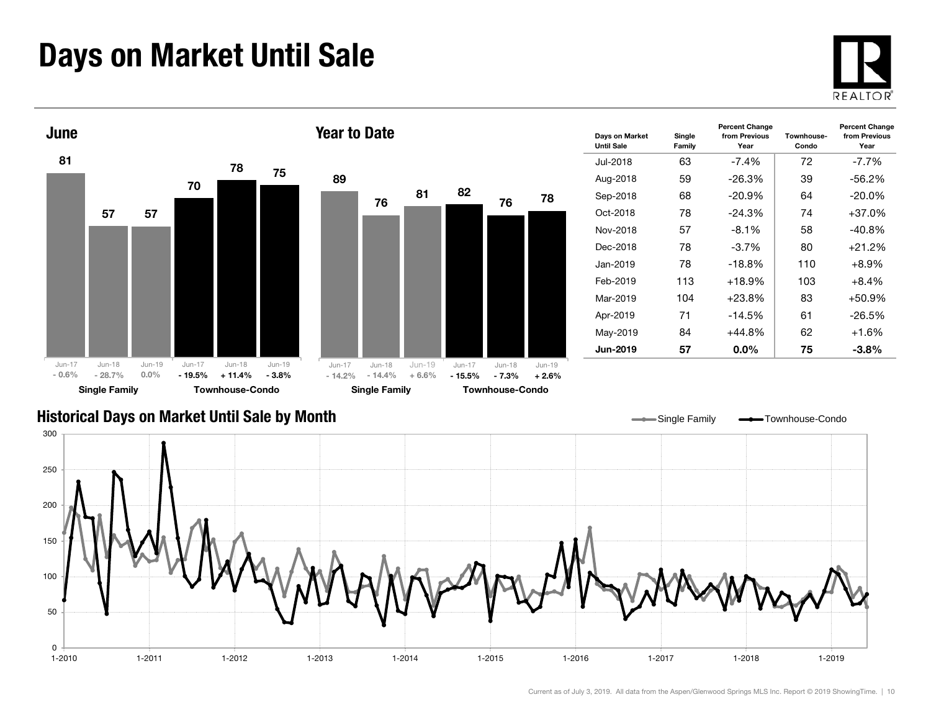### Days on Market Until Sale





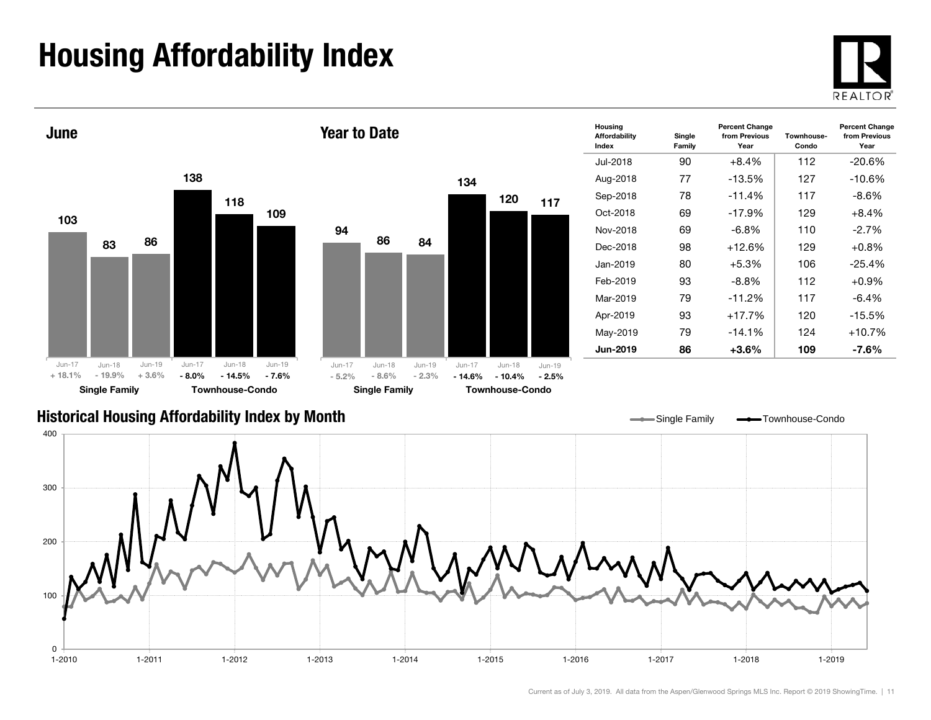## Housing Affordability Index





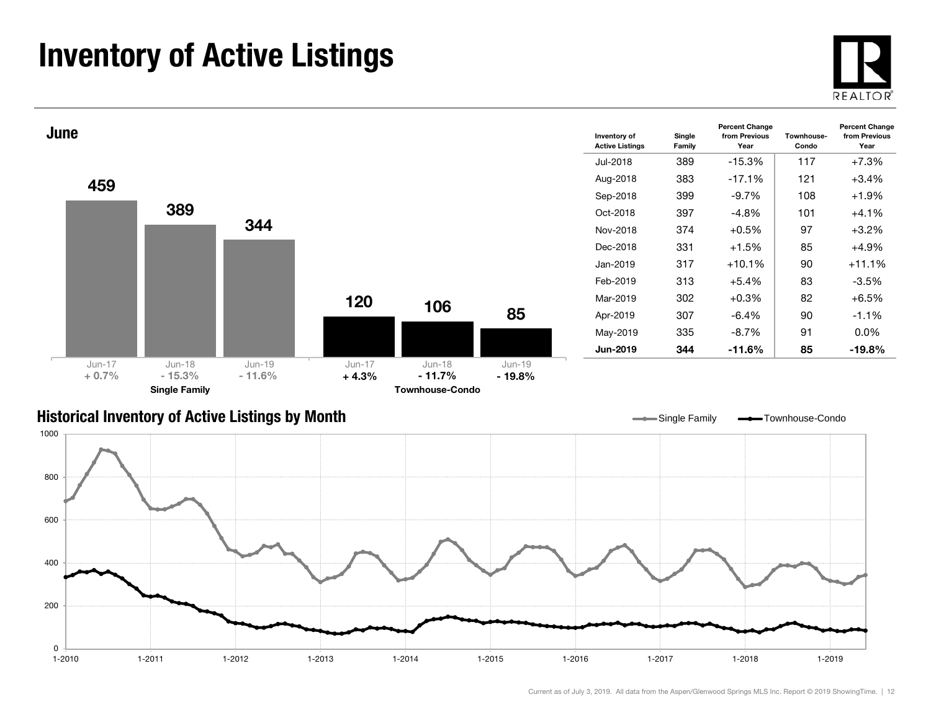### Inventory of Active Listings





#### Historical Inventory of Active Listings by Month



Single Family **-** Townhouse-Condo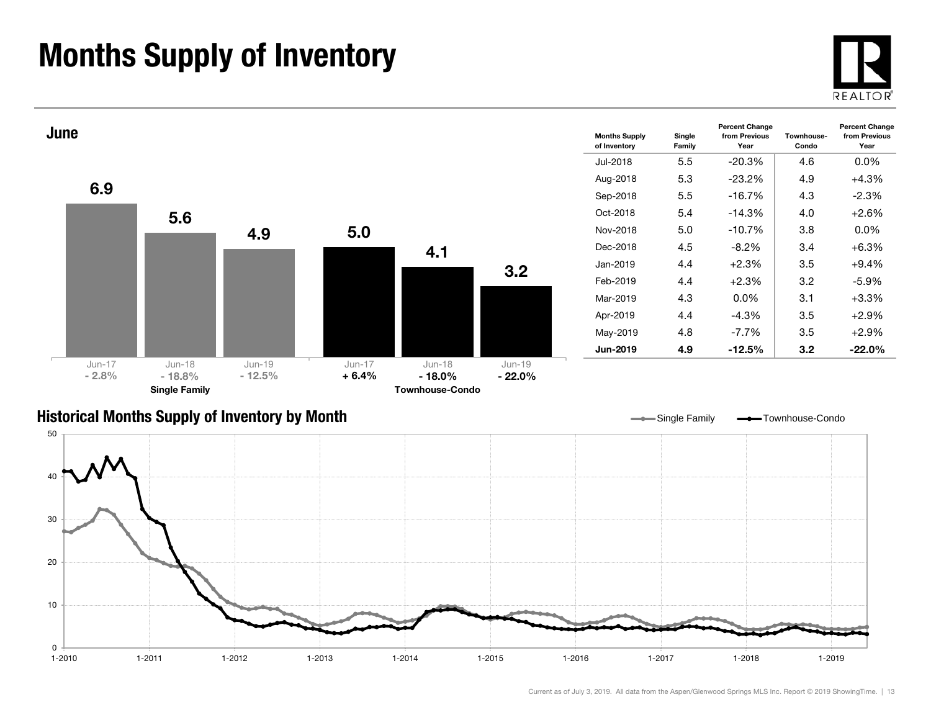### Months Supply of Inventory





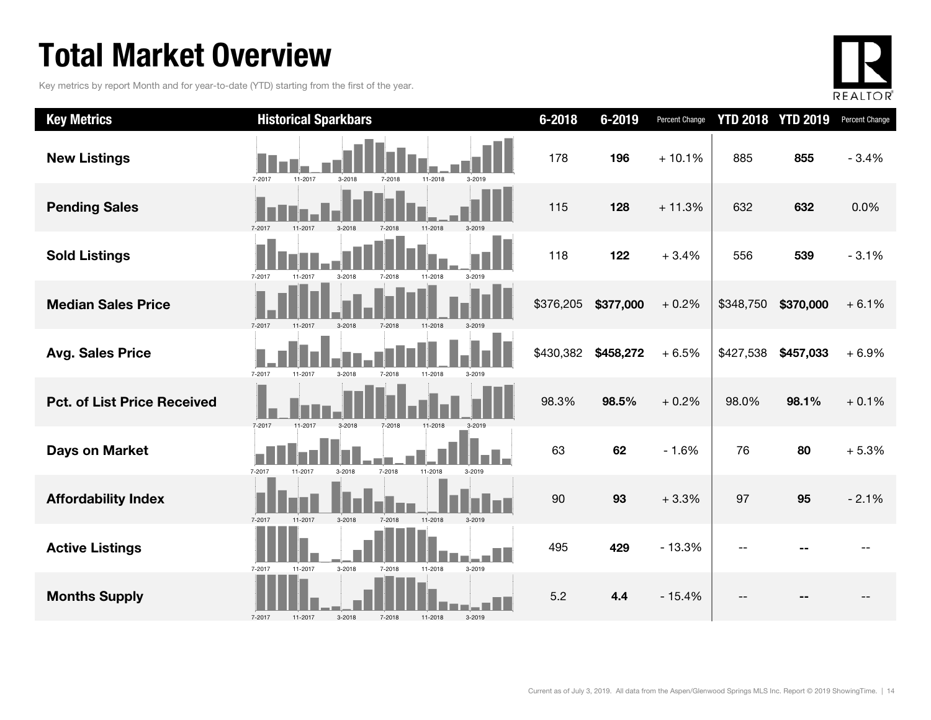### Total Market Overview

Key metrics by report Month and for year-to-date (YTD) starting from the first of the year.



| <b>Key Metrics</b>                 | <b>Historical Sparkbars</b>                                    | $6 - 2018$ | 6-2019    | Percent Change |           | <b>YTD 2018 YTD 2019</b> | Percent Change |
|------------------------------------|----------------------------------------------------------------|------------|-----------|----------------|-----------|--------------------------|----------------|
| <b>New Listings</b>                | 7-2017<br>11-2017<br>11-2018<br>$3 - 2018$<br>7-2018<br>3-2019 | 178        | 196       | $+10.1%$       | 885       | 855                      | $-3.4%$        |
| <b>Pending Sales</b>               | 7-2017<br>3-2018<br>7-2018<br>11-2018<br>$3 - 2019$<br>11-2017 | 115        | 128       | $+11.3%$       | 632       | 632                      | 0.0%           |
| <b>Sold Listings</b>               | 7-2017<br>3-2018<br>7-2018<br>11-2018<br>3-2019<br>11-2017     | 118        | 122       | $+3.4%$        | 556       | 539                      | $-3.1%$        |
| <b>Median Sales Price</b>          | $3 - 2018$<br>7-2017<br>11-2017<br>7-2018<br>11-2018           | \$376,205  | \$377,000 | $+0.2%$        | \$348,750 | \$370,000                | $+6.1%$        |
| <b>Avg. Sales Price</b>            | 7-2017<br>11-2017<br>3-2018<br>11-2018<br>7-2018<br>$3 - 2019$ | \$430,382  | \$458,272 | $+6.5%$        | \$427,538 | \$457,033                | $+6.9%$        |
| <b>Pct. of List Price Received</b> | 7-2017<br>11-2017<br>3-2018<br>7-2018<br>11-2018               | 98.3%      | 98.5%     | $+0.2%$        | 98.0%     | 98.1%                    | $+0.1%$        |
| <b>Days on Market</b>              | 7-2017<br>7-2018<br>11-2018<br>3-2018<br>11-2017<br>3-2019     | 63         | 62        | $-1.6%$        | 76        | 80                       | $+5.3%$        |
| <b>Affordability Index</b>         | 7-2017<br>11-2017<br>$3 - 2018$<br>7-2018<br>11-2018<br>3-2019 | 90         | 93        | $+3.3%$        | 97        | 95                       | $-2.1%$        |
| <b>Active Listings</b>             | 3-2018<br>7-2017<br>11-2017<br>7-2018<br>11-2018<br>3-2019     | 495        | 429       | $-13.3%$       |           |                          |                |
| <b>Months Supply</b>               | 3-2018<br>7-2018<br>7-2017<br>11-2017<br>11-2018<br>3-2019     | 5.2        | 4.4       | $-15.4%$       |           |                          |                |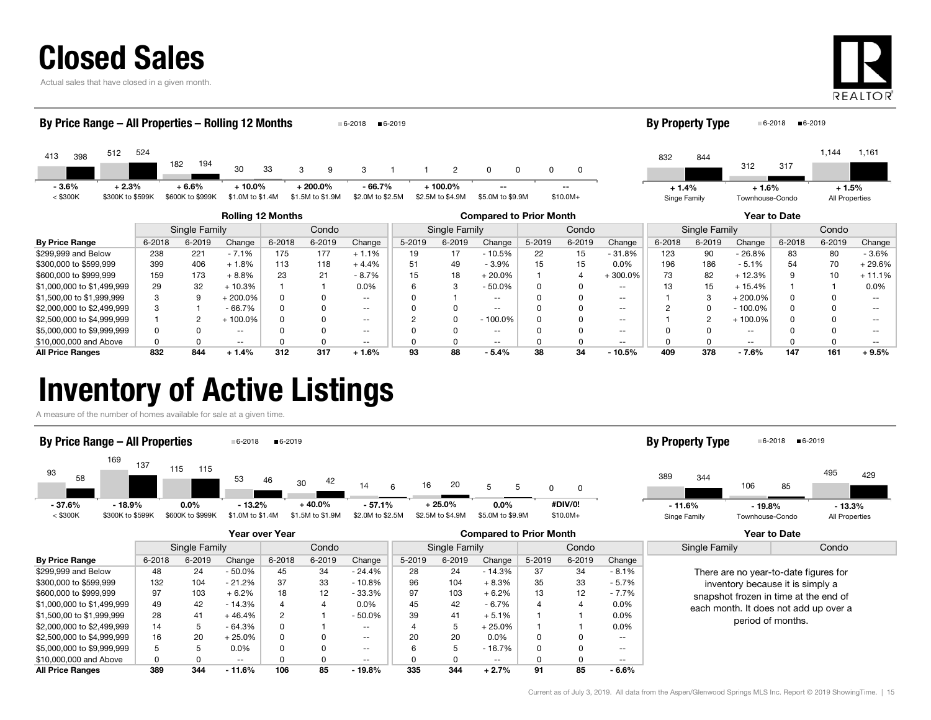|  |  |  |  | <b>Closed Sales</b> |
|--|--|--|--|---------------------|
|  |  |  |  |                     |

Actual sales that have closed in a given month.



| By Price Range - All Properties - Rolling 12 Months |                             |        |                             |                               |            |                                | 6-2018                       | $6 - 2019$             |                                |                                |        |           |                        | <b>By Property Type</b> |        |                            | $6 - 2018$<br>$6 - 2019$ |                           |                   |
|-----------------------------------------------------|-----------------------------|--------|-----------------------------|-------------------------------|------------|--------------------------------|------------------------------|------------------------|--------------------------------|--------------------------------|--------|-----------|------------------------|-------------------------|--------|----------------------------|--------------------------|---------------------------|-------------------|
| 413<br>398                                          | 524<br>512                  | 182    | 194                         | 30                            | 33         | 9<br>3                         | 3                            |                        | $\overline{2}$                 | $\Omega$                       | 0      | 0         |                        | 832                     | 844    | 312                        | 317                      | 1,144                     | 1,161             |
| $-3.6%$<br>$<$ \$300K                               | $+2.3%$<br>\$300K to \$599K |        | $+6.6%$<br>\$600K to \$999K | $+10.0\%$<br>\$1.0M to \$1.4M |            | $+200.0\%$<br>\$1.5M to \$1.9M | $-66.7%$<br>\$2.0M to \$2.5M |                        | $+100.0\%$<br>\$2.5M to \$4.9M | $-$<br>\$5.0M to \$9.9M        |        | $$10.0M+$ |                        | $+1.4%$<br>Singe Family |        | $+1.6%$<br>Townhouse-Condo |                          | $+1.5%$<br>All Properties |                   |
|                                                     |                             |        |                             | <b>Rolling 12 Months</b>      |            |                                |                              |                        |                                | <b>Compared to Prior Month</b> |        |           |                        |                         |        |                            | Year to Date             |                           |                   |
|                                                     |                             |        | Single Family               |                               |            | Condo                          |                              | Condo<br>Single Family |                                |                                |        |           | Condo<br>Single Family |                         |        |                            |                          |                           |                   |
| <b>By Price Range</b>                               |                             | 6-2018 | 6-2019                      | Change                        | $6 - 2018$ | 6-2019                         | Change                       | 5-2019                 | 6-2019                         | Change                         | 5-2019 | 6-2019    | Change                 | $6 - 2018$              | 6-2019 | Change                     | 6-2018                   | 6-2019                    | Change            |
| \$299,999 and Below                                 |                             | 238    | 221                         | $-7.1%$                       | 175        | 177                            | $+1.1%$                      | 19                     | 17                             | $-10.5%$                       | 22     | 15        | $-31.8%$               | 123                     | 90     | $-26.8%$                   | 83                       | 80                        | $-3.6%$           |
| \$300,000 to \$599,999                              |                             | 399    | 406                         | $+1.8%$                       | 113        | 118                            | $+4.4%$                      | 51                     | 49                             | $-3.9%$                        | 15     | 15        | $0.0\%$                | 196                     | 186    | $-5.1%$                    | 54                       | 70                        | $+29.6%$          |
| \$600,000 to \$999,999                              |                             | 159    | 173                         | $+8.8%$                       | 23         | 21                             | $-8.7%$                      | 15                     | 18                             | $+20.0%$                       |        |           | $+300.0%$              | 73                      | 82     | $+12.3%$                   |                          | 10                        | $+11.1%$          |
| \$1,000,000 to \$1,499,999                          |                             | 29     | 32                          | $+10.3%$                      |            |                                | 0.0%                         | 6                      | 3                              | $-50.0%$                       |        | 0         | $\sim$ $\sim$          | 13                      | 15     | $+15.4%$                   |                          |                           | 0.0%              |
| \$1,500,00 to \$1,999,999                           |                             | 3      | 9                           | $+200.0\%$                    |            |                                | $- -$                        |                        |                                | $\frac{1}{2}$                  |        |           | $\sim$ $\sim$          |                         | 3      | $+200.0\%$                 |                          |                           | $\qquad \qquad -$ |
| \$2,000,000 to \$2,499,999                          |                             |        |                             | $-66.7%$                      |            |                                | $\sim$ $\sim$                |                        | 0                              | $\frac{1}{2}$                  |        |           | $\sim$ $\sim$          |                         |        | $-100.0\%$                 |                          |                           | --                |
| \$2,500,000 to \$4,999,999                          |                             |        |                             | + 100.0%                      |            |                                | $\sim$ $\sim$                |                        | 0                              | $-100.0\%$                     |        |           | $\sim$ $\sim$          |                         |        | $+100.0\%$                 |                          |                           |                   |

\$5,000,000 to \$9,999,999 **discript of the CONT OF A CONTENT OF CONT** -- ( ) and on the CONT -- ( ) and on the CONT<br>\$5,000,000 to \$9,999,999 discrimination of the CONT OF CONTENT OF CONTENT OF CONTENT OF CONTENT OF CONTENT \$10,000,000 and Above 0 0 -- 0 0 -- 0 0 -- 0 0 -- 0 0 -- 0 0 -- All Price Ranges 832 844 + 1.4% 312 317 + 1.6% 93 88 - 5.4% 38 34 - 10.5% 409 378 - 7.6% 147 161 + 9.5%

#### Inventory of Active Listings

A measure of the number of homes available for sale at a given time.



|                            | Year over Year |        |           |                |        |                          | <b>Compared to Prior Month</b> |        |               |        |        |                   | Year to Date                                                                                                       |       |
|----------------------------|----------------|--------|-----------|----------------|--------|--------------------------|--------------------------------|--------|---------------|--------|--------|-------------------|--------------------------------------------------------------------------------------------------------------------|-------|
|                            | Single Family  |        |           | Condo          |        |                          | Single Family                  |        |               | Condo  |        |                   | Single Family                                                                                                      | Condo |
| <b>By Price Range</b>      | 6-2018         | 6-2019 | Change    | 6-2018         | 6-2019 | Change                   | 5-2019                         | 6-2019 | Change        | 5-2019 | 6-2019 | Change            |                                                                                                                    |       |
| \$299,999 and Below        | 48             | 24     | $-50.0\%$ | 45             | 34     | - 24.4%                  | 28                             | 24     | $-14.3%$      | 37     | 34     | $-8.1\%$          | There are no year-to-date figures for<br>inventory because it is simply a<br>snapshot frozen in time at the end of |       |
| \$300,000 to \$599,999     | 132            | 104    | $-21.2%$  | 37             | 33     | $-10.8%$                 | 96                             | 104    | $+8.3%$       | 35     | 33     | $-5.7%$           |                                                                                                                    |       |
| \$600,000 to \$999,999     | 97             | 103    | $+6.2%$   | 18             | 12     | $-33.3%$                 | 97                             | 103    | $+6.2%$       | 13     | 12     | $-7.7%$           |                                                                                                                    |       |
| \$1,000,000 to \$1,499,999 | 49             | 42     | $-14.3%$  |                |        | $0.0\%$                  | 45                             | 42     | - 6.7%        | 4      |        | $0.0\%$           | each month. It does not add up over a                                                                              |       |
| \$1,500,00 to \$1,999,999  | 28             | 41     | $+46.4%$  | $\overline{2}$ |        | $-50.0%$                 | 39                             | 41     | $+5.1%$       |        |        | $0.0\%$           | period of months.                                                                                                  |       |
| \$2,000,000 to \$2,499,999 | 14             | 5      | $-64.3%$  |                |        | $- -$                    |                                | 5      | $+25.0%$      |        |        | 0.0%              |                                                                                                                    |       |
| \$2,500,000 to \$4,999,999 | 16             | 20     | $+25.0%$  | 0              |        | $- -$                    | 20                             | 20     | $0.0\%$       | 0      |        | $- -$             |                                                                                                                    |       |
| \$5,000,000 to \$9,999,999 | b              |        | $0.0\%$   |                |        | $\overline{\phantom{m}}$ |                                | 5      | $-16.7%$      | 0      |        | $\qquad \qquad -$ |                                                                                                                    |       |
| \$10,000,000 and Above     |                |        | $- -$     |                |        | $- -$                    |                                |        | $\sim$ $\sim$ |        |        | $- -$             |                                                                                                                    |       |
| <b>All Price Ranges</b>    | 389            | 344    | $-11.6%$  | 106            | 85     | $-19.8%$                 | 335                            | 344    | $+2.7%$       | 91     | 85     | - 6.6%            |                                                                                                                    |       |